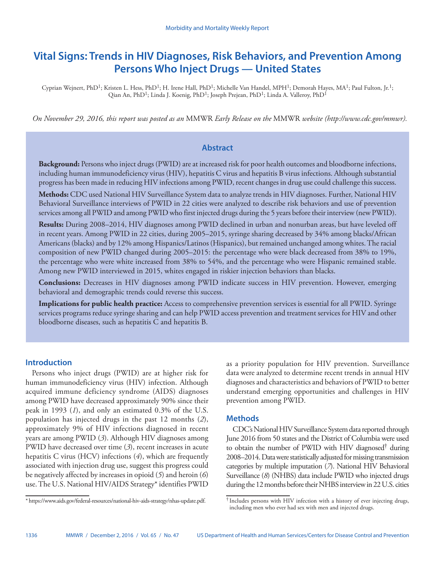# **Vital Signs: Trends in HIV Diagnoses, Risk Behaviors, and Prevention Among Persons Who Inject Drugs — United States**

Cyprian Wejnert, PhD<sup>1</sup>; Kristen L. Hess, PhD<sup>1</sup>; H. Irene Hall, PhD<sup>1</sup>; Michelle Van Handel, MPH<sup>1</sup>; Demorah Hayes, MA<sup>1</sup>; Paul Fulton, Jr.<sup>1</sup>; Qian An, PhD<sup>1</sup>; Linda J. Koenig, PhD<sup>1</sup>; Joseph Prejean, PhD<sup>1</sup>; Linda A. Valleroy, PhD<sup>1</sup>

*On November 29, 2016, this report was posted as an* MMWR *Early Release on the* MMWR *website (http://www.cdc.gov/mmwr).*

### **Abstract**

**Background:** Persons who inject drugs (PWID) are at increased risk for poor health outcomes and bloodborne infections, including human immunodeficiency virus (HIV), hepatitis C virus and hepatitis B virus infections. Although substantial progress has been made in reducing HIV infections among PWID, recent changes in drug use could challenge this success.

**Methods:** CDC used National HIV Surveillance System data to analyze trends in HIV diagnoses. Further, National HIV Behavioral Surveillance interviews of PWID in 22 cities were analyzed to describe risk behaviors and use of prevention services among all PWID and among PWID who first injected drugs during the 5 years before their interview (new PWID).

**Results:** During 2008–2014, HIV diagnoses among PWID declined in urban and nonurban areas, but have leveled off in recent years. Among PWID in 22 cities, during 2005–2015, syringe sharing decreased by 34% among blacks/African Americans (blacks) and by 12% among Hispanics/Latinos (Hispanics), but remained unchanged among whites. The racial composition of new PWID changed during 2005–2015: the percentage who were black decreased from 38% to 19%, the percentage who were white increased from 38% to 54%, and the percentage who were Hispanic remained stable. Among new PWID interviewed in 2015, whites engaged in riskier injection behaviors than blacks.

**Conclusions:** Decreases in HIV diagnoses among PWID indicate success in HIV prevention. However, emerging behavioral and demographic trends could reverse this success.

**Implications for public health practice:** Access to comprehensive prevention services is essential for all PWID. Syringe services programs reduce syringe sharing and can help PWID access prevention and treatment services for HIV and other bloodborne diseases, such as hepatitis C and hepatitis B.

#### **Introduction**

Persons who inject drugs (PWID) are at higher risk for human immunodeficiency virus (HIV) infection. Although acquired immune deficiency syndrome (AIDS) diagnoses among PWID have decreased approximately 90% since their peak in 1993 (*1*), and only an estimated 0.3% of the U.S. population has injected drugs in the past 12 months (*2*), approximately 9% of HIV infections diagnosed in recent years are among PWID (*3*). Although HIV diagnoses among PWID have decreased over time (*3*), recent increases in acute hepatitis C virus (HCV) infections (*4*), which are frequently associated with injection drug use, suggest this progress could be negatively affected by increases in opioid (*5*) and heroin (*6*) use. The U.S. National HIV/AIDS Strategy\* identifies PWID

as a priority population for HIV prevention. Surveillance data were analyzed to determine recent trends in annual HIV diagnoses and characteristics and behaviors of PWID to better understand emerging opportunities and challenges in HIV prevention among PWID.

#### **Methods**

CDC's National HIV Surveillance System data reported through June 2016 from 50 states and the District of Columbia were used to obtain the number of PWID with HIV diagnosed† during 2008–2014. Data were statistically adjusted for missing transmission categories by multiple imputation (*7*). National HIV Behavioral Surveillance (*8*) (NHBS) data include PWID who injected drugs during the 12 months before their NHBS interview in 22 U.S. cities

<sup>\*</sup> [https://www.aids.gov/federal-resources/national-hiv-aids-strategy/nhas-update.pdf.](https://www.aids.gov/federal-resources/national-hiv-aids-strategy/nhas-update.pdf)

<sup>†</sup> Includes persons with HIV infection with a history of ever injecting drugs, including men who ever had sex with men and injected drugs.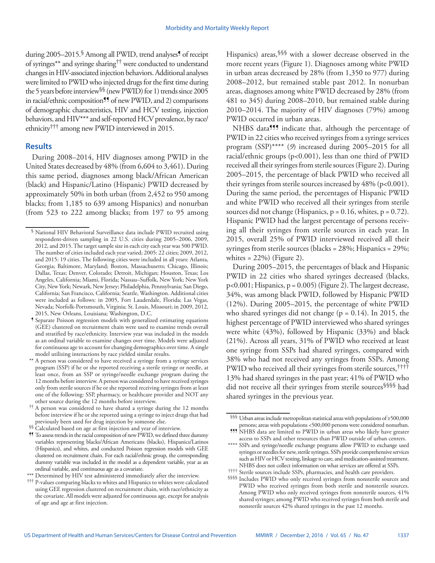during 2005–2015. Among all PWID, trend analyses<sup>9</sup> of receipt of syringes\*\* and syringe sharing†† were conducted to understand changes in HIV-associated injection behaviors. Additional analyses were limited to PWID who injected drugs for the first time during the 5 years before interview§§ (new PWID) for 1) trends since 2005 in racial/ethnic composition<sup>99</sup> of new PWID, and 2) comparisons of demographic characteristics, HIV and HCV testing, injection behaviors, and HIV\*\*\* and self-reported HCV prevalence, by race/ ethnicity††† among new PWID interviewed in 2015.

#### **Results**

During 2008–2014, HIV diagnoses among PWID in the United States decreased by 48% (from 6,604 to 3,461). During this same period, diagnoses among black/African American (black) and Hispanic/Latino (Hispanic) PWID decreased by approximately 50% in both urban (from 2,452 to 950 among blacks; from 1,185 to 639 among Hispanics) and nonurban (from 523 to 222 among blacks; from 197 to 95 among Hispanics) areas, SSS with a slower decrease observed in the more recent years (Figure 1). Diagnoses among white PWID in urban areas decreased by 28% (from 1,350 to 977) during 2008–2012, but remained stable past 2012. In nonurban areas, diagnoses among white PWID decreased by 28% (from 481 to 345) during 2008–2010, but remained stable during 2010–2014. The majority of HIV diagnoses (79%) among PWID occurred in urban areas.

NHBS data<sup>555</sup> indicate that, although the percentage of PWID in 22 cities who received syringes from a syringe services program (SSP)\*\*\*\* (*9*) increased during 2005–2015 for all racial/ethnic groups (p<0.001), less than one third of PWID received all their syringes from sterile sources (Figure 2). During 2005–2015, the percentage of black PWID who received all their syringes from sterile sources increased by 48% (p<0.001). During the same period, the percentages of Hispanic PWID and white PWID who received all their syringes from sterile sources did not change (Hispanics,  $p = 0.16$ , whites,  $p = 0.72$ ). Hispanic PWID had the largest percentage of persons receiving all their syringes from sterile sources in each year. In 2015, overall 25% of PWID interviewed received all their syringes from sterile sources (blacks = 28%; Hispanics = 29%; whites  $= 22\%$ ) (Figure 2).

During 2005–2015, the percentages of black and Hispanic PWID in 22 cities who shared syringes decreased (blacks,  $p<0.001$ ; Hispanics,  $p = 0.005$ ) (Figure 2). The largest decrease, 34%, was among black PWID, followed by Hispanic PWID (12%). During 2005–2015, the percentage of white PWID who shared syringes did not change ( $p = 0.14$ ). In 2015, the highest percentage of PWID interviewed who shared syringes were white (43%), followed by Hispanic (33%) and black (21%). Across all years, 31% of PWID who received at least one syringe from SSPs had shared syringes, compared with 38% who had not received any syringes from SSPs. Among PWID who received all their syringes from sterile sources,†††† 13% had shared syringes in the past year; 41% of PWID who did not receive all their syringes from sterile sources§§§§ had shared syringes in the previous year.

<sup>§</sup> National HIV Behavioral Surveillance data include PWID recruited using respondent-driven sampling in 22 U.S. cities during 2005–2006, 2009, 2012, and 2015. The target sample size in each city each year was 500 PWID. The number of cities included each year varied; 2005: 22 cities; 2009, 2012, and 2015: 19 cities. The following cities were included in all years: Atlanta, Georgia; Baltimore, Maryland; Boston, Massachusetts; Chicago, Illinois; Dallas, Texas; Denver, Colorado; Detroit, Michigan; Houston, Texas; Los Angeles, California; Miami, Florida; Nassau–Suffolk, New York; New York City, New York; Newark, New Jersey; Philadelphia, Pennsylvania; San Diego, California; San Francisco, California; Seattle, Washington. Additional cities were included as follows: in 2005, Fort Lauderdale, Florida; Las Vegas, Nevada; Norfolk-Portsmouth, Virginia; St. Louis, Missouri; in 2009, 2012, 2015, New Orleans, Louisiana; Washington, D.C.

<sup>¶</sup> Separate Poisson regression models with generalized estimating equations (GEE) clustered on recruitment chain were used to examine trends overall and stratified by race/ethnicity. Interview year was included in the models as an ordinal variable to examine changes over time. Models were adjusted for continuous age to account for changing demographics over time. A single model utilizing interactions by race yielded similar results.

<sup>\*\*</sup> A person was considered to have received a syringe from a syringe services program (SSP) if he or she reported receiving a sterile syringe or needle, at least once, from an SSP or syringe/needle exchange program during the 12 months before interview. A person was considered to have received syringes only from sterile sources if he or she reported receiving syringes from at least one of the following: SSP, pharmacy, or healthcare provider and NOT any other source during the 12 months before interview.

<sup>††</sup> A person was considered to have shared a syringe during the 12 months before interview if he or she reported using a syringe to inject drugs that had previously been used for drug injection by someone else.

<sup>§§</sup> Calculated based on age at first injection and year of interview.

<sup>¶¶</sup> To assess trends in the racial composition of new PWID, we defined three dummy variables representing blacks/African Americans (blacks), Hispanics/Latinos (Hispanics), and whites, and conducted Poisson regression models with GEE clustered on recruitment chain. For each racial/ethnic group, the corresponding dummy variable was included in the model as a dependent variable, year as an ordinal variable, and continuous age as a covariate.

<sup>\*\*\*</sup> Determined by HIV test administered immediately after the interview.

<sup>†††</sup> P-values comparing blacks to whites and Hispanics to whites were calculated using GEE regression clustered on recruitment chain, with race/ethnicity as the covariate. All models were adjusted for continuous age, except for analysis of age and age at first injection.

<sup>§§§</sup> Urban areas include metropolitan statistical areas with populations of ≥500,000 persons; areas with populations <500,000 persons were considered nonurban. <sup>111</sup> NHBS data are limited to PWID in urban areas who likely have greater

access to SSPs and other resources than PWID outside of urban centers. \*\*\*\* SSPs and syringe/needle exchange programs allow PWID to exchange used syringes or needles for new, sterile syringes. SSPs provide comprehensive services such as HIV or HCV testing, linkage to care, and medication-assisted treatment. NHBS does not collect information on what services are offered at SSPs.

<sup>††††</sup> Sterile sources include SSPs, pharmacies, and health care providers.

<sup>§§§§</sup> Includes PWID who only received syringes from nonsterile sources and PWID who received syringes from both sterile and nonsterile sources. Among PWID who only received syringes from nonsterile sources, 41% shared syringes; among PWID who received syringes from both sterile and nonsterile sources 42% shared syringes in the past 12 months.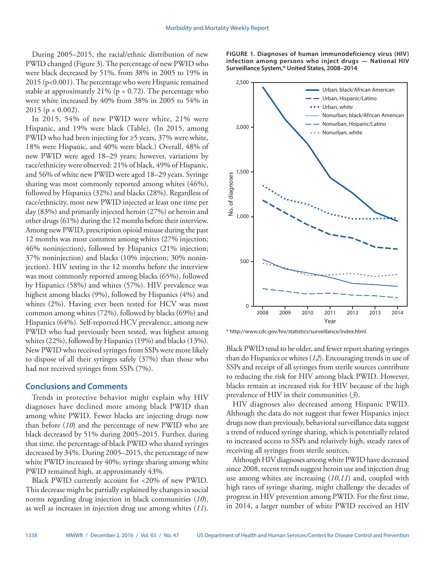During 2005–2015, the racial/ethnic distribution of new PWID changed (Figure 3). The percentage of new PWID who were black decreased by 51%, from 38% in 2005 to 19% in 2015 (p<0.001). The percentage who were Hispanic remained stable at approximately 21% ( $p = 0.72$ ). The percentage who were white increased by 40% from 38% in 2005 to 54% in 2015 ( $p = 0.002$ ).

In 2015, 54% of new PWID were white, 21% were Hispanic, and 19% were black (Table). (In 2015, among PWID who had been injecting for ≥5 years, 37% were white, 18% were Hispanic, and 40% were black.) Overall, 48% of new PWID were aged 18–29 years; however, variations by race/ethnicity were observed: 21% of black, 49% of Hispanic, and 56% of white new PWID were aged 18–29 years. Syringe sharing was most commonly reported among whites (46%), followed by Hispanics (32%) and blacks (28%). Regardless of race/ethnicity, most new PWID injected at least one time per day (83%) and primarily injected heroin (27%) or heroin and other drugs (61%) during the 12 months before their interview. Among new PWID, prescription opioid misuse during the past 12 months was most common among whites (27% injection; 46% noninjection), followed by Hispanics (21% injection; 37% noninjection) and blacks (10% injection; 30% noninjection). HIV testing in the 12 months before the interview was most commonly reported among blacks (65%), followed by Hispanics (58%) and whites (57%). HIV prevalence was highest among blacks (9%), followed by Hispanics (4%) and whites (2%). Having ever been tested for HCV was most common among whites (72%), followed by blacks (69%) and Hispanics (64%). Self-reported HCV prevalence, among new PWID who had previously been tested, was highest among whites (22%), followed by Hispanics (19%) and blacks (13%). New PWID who received syringes from SSPs were more likely to dispose of all their syringes safely (37%) than those who had not received syringes from SSPs (7%).

#### **Conclusions and Comments**

Trends in protective behavior might explain why HIV diagnoses have declined more among black PWID than among white PWID. Fewer blacks are injecting drugs now than before (*10*) and the percentage of new PWID who are black decreased by 51% during 2005–2015. Further, during that time, the percentage of black PWID who shared syringes decreased by 34%. During 2005–2015, the percentage of new white PWID increased by 40%; syringe sharing among white PWID remained high, at approximately 43%.

Black PWID currently account for <20% of new PWID. This decrease might be partially explained by changes in social norms regarding drug injection in black communities (*10*), as well as increases in injection drug use among whites (*11*).

**FIGURE 1. Diagnoses of human immunodeficiency virus (HIV) infection among persons who inject drugs — National HIV Surveillance System,\* United States, 2008–2014**



\* <http://www.cdc.gov/hiv/statistics/surveillance/index.html>.

Black PWID tend to be older, and fewer report sharing syringes than do Hispanics or whites (*12*). Encouraging trends in use of SSPs and receipt of all syringes from sterile sources contribute to reducing the risk for HIV among black PWID. However, blacks remain at increased risk for HIV because of the high prevalence of HIV in their communities (*3*).

HIV diagnoses also decreased among Hispanic PWID. Although the data do not suggest that fewer Hispanics inject drugs now than previously, behavioral surveillance data suggest a trend of reduced syringe sharing, which is potentially related to increased access to SSPs and relatively high, steady rates of receiving all syringes from sterile sources.

Although HIV diagnoses among white PWID have decreased since 2008, recent trends suggest heroin use and injection drug use among whites are increasing (*10*,*11*) and, coupled with high rates of syringe sharing, might challenge the decades of progress in HIV prevention among PWID. For the first time, in 2014, a larger number of white PWID received an HIV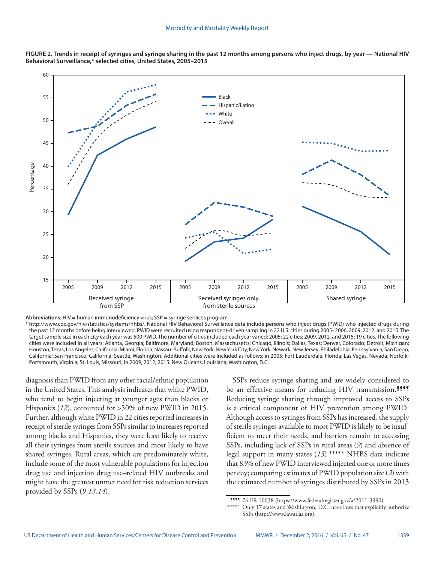



**Abbreviations:** HIV = human immunodeficiency virus; SSP = syringe services program.

\* <http://www.cdc.gov/hiv/statistics/systems/nhbs/>. National HIV Behavioral Surveillance data include persons who inject drugs (PWID) who injected drugs during the past 12 months before being interviewed. PWID were recruited using respondent-driven sampling in 22 U.S. cities during 2005–2006, 2009, 2012, and 2015. The target sample size in each city each year was 500 PWID. The number of cities included each year varied: 2005: 22 cities; 2009, 2012, and 2015: 19 cities. The following cities were included in all years: Atlanta, Georgia; Baltimore, Maryland; Boston, Massachusetts; Chicago, Illinois; Dallas, Texas; Denver, Colorado; Detroit, Michigan; Houston, Texas; Los Angeles, California; Miami, Florida; Nassau–Suffolk, New York; New York City, New York; Newark, New Jersey; Philadelphia, Pennsylvania; San Diego, California; San Francisco, California; Seattle, Washington. Additional cities were included as follows: in 2005: Fort Lauderdale, Florida; Las Vegas, Nevada; Norfolk-Portsmouth, Virginia; St. Louis, Missouri; in 2009, 2012, 2015: New Orleans, Louisiana; Washington, D.C.

diagnosis than PWID from any other racial/ethnic population in the United States. This analysis indicates that white PWID, who tend to begin injecting at younger ages than blacks or Hispanics (*12*), accounted for >50% of new PWID in 2015. Further, although white PWID in 22 cities reported increases in receipt of sterile syringes from SSPs similar to increases reported among blacks and Hispanics, they were least likely to receive all their syringes from sterile sources and most likely to have shared syringes. Rural areas, which are predominately white, include some of the most vulnerable populations for injection drug use and injection drug use–related HIV outbreaks and might have the greatest unmet need for risk reduction services provided by SSPs (*9*,*13*,*14*).

SSPs reduce syringe sharing and are widely considered to be an effective means for reducing HIV transmission.<sup>9999</sup> Reducing syringe sharing through improved access to SSPs is a critical component of HIV prevention among PWID. Although access to syringes from SSPs has increased, the supply of sterile syringes available to most PWID is likely to be insufficient to meet their needs, and barriers remain to accessing SSPs, including lack of SSPs in rural areas (*9*) and absence of legal support in many states (*15*).\*\*\*\*\* NHBS data indicate that 83% of new PWID interviewed injected one or more times per day; comparing estimates of PWID population size (*2*) with the estimated number of syringes distributed by SSPs in 2013

¶¶¶¶ 76 FR 10038 [\(https://www.federalregister.gov/a/2011-3990](https://www.federalregister.gov/a/2011-3990)).

Only 17 states and Washington, D.C. have laws that explicitly authorize SSPs ([http://www.lawatlas.org\)](http://www.lawatlas.org).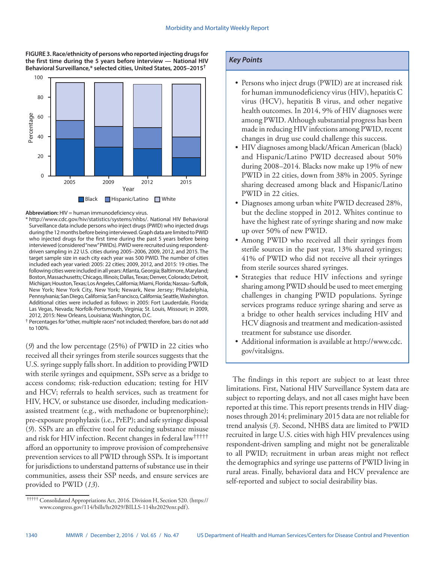**FIGURE 3. Race/ethnicity of persons who reported injecting drugs for the first time during the 5 years before interview — National HIV Behavioral Surveillance,\* selected cities, United States, 2005–2015†**



**Abbreviation:** HIV = human immunodeficiency virus.

\* <http://www.cdc.gov/hiv/statistics/systems/nhbs/>. National HIV Behavioral Surveillance data include persons who inject drugs (PWID) who injected drugs during the 12 months before being interviewed. Graph data are limited to PWID who injected drugs for the first time during the past 5 years before being interviewed (considered "new" PWIDs). PWID were recruited using respondentdriven sampling in 22 U.S. cities during 2005–2006, 2009, 2012, and 2015. The target sample size in each city each year was 500 PWID. The number of cities included each year varied: 2005: 22 cities; 2009, 2012, and 2015: 19 cities. The following cities were included in all years: Atlanta, Georgia; Baltimore, Maryland; Boston, Massachusetts; Chicago, Illinois; Dallas, Texas; Denver, Colorado; Detroit, Michigan; Houston, Texas; Los Angeles, California; Miami, Florida; Nassau–Suffolk, New York; New York City, New York; Newark, New Jersey; Philadelphia, Pennsylvania; San Diego, California; San Francisco, California; Seattle, Washington. Additional cities were included as follows: in 2005: Fort Lauderdale, Florida; Las Vegas, Nevada; Norfolk-Portsmouth, Virginia; St. Louis, Missouri; in 2009, 2012, 2015: New Orleans, Louisiana; Washington, D.C.

† Percentages for "other, multiple races" not included; therefore, bars do not add to 100%.

(*9*) and the low percentage (25%) of PWID in 22 cities who received all their syringes from sterile sources suggests that the U.S. syringe supply falls short. In addition to providing PWID with sterile syringes and equipment, SSPs serve as a bridge to access condoms; risk-reduction education; testing for HIV and HCV; referrals to health services, such as treatment for HIV, HCV, or substance use disorder, including medicationassisted treatment (e.g., with methadone or buprenorphine); pre-exposure prophylaxis (i.e., PrEP); and safe syringe disposal (*9*). SSPs are an effective tool for reducing substance misuse and risk for HIV infection. Recent changes in federal law††††† afford an opportunity to improve provision of comprehensive prevention services to all PWID through SSPs. It is important for jurisdictions to understand patterns of substance use in their communities, assess their SSP needs, and ensure services are provided to PWID (*13*).

## *Key Points*

- Persons who inject drugs (PWID) are at increased risk for human immunodeficiency virus (HIV), hepatitis C virus (HCV), hepatitis B virus, and other negative health outcomes. In 2014, 9% of HIV diagnoses were among PWID. Although substantial progress has been made in reducing HIV infections among PWID, recent changes in drug use could challenge this success.
- HIV diagnoses among black/African American (black) and Hispanic/Latino PWID decreased about 50% during 2008–2014. Blacks now make up 19% of new PWID in 22 cities, down from 38% in 2005. Syringe sharing decreased among black and Hispanic/Latino PWID in 22 cities.
- Diagnoses among urban white PWID decreased 28%, but the decline stopped in 2012. Whites continue to have the highest rate of syringe sharing and now make up over 50% of new PWID.
- Among PWID who received all their syringes from sterile sources in the past year, 13% shared syringes; 41% of PWID who did not receive all their syringes from sterile sources shared syringes.
- Strategies that reduce HIV infections and syringe sharing among PWID should be used to meet emerging challenges in changing PWID populations. Syringe services programs reduce syringe sharing and serve as a bridge to other health services including HIV and HCV diagnosis and treatment and medication-assisted treatment for substance use disorder.
- Additional information is available at [http://www.cdc.](http://www.cdc.gov/vitalsigns) [gov/vitalsigns](http://www.cdc.gov/vitalsigns).

The findings in this report are subject to at least three limitations. First, National HIV Surveillance System data are subject to reporting delays, and not all cases might have been reported at this time. This report presents trends in HIV diagnoses through 2014; preliminary 2015 data are not reliable for trend analysis (*3*). Second, NHBS data are limited to PWID recruited in large U.S. cities with high HIV prevalences using respondent-driven sampling and might not be generalizable to all PWID; recruitment in urban areas might not reflect the demographics and syringe use patterns of PWID living in rural areas. Finally, behavioral data and HCV prevalence are self-reported and subject to social desirability bias.

 <sup>†††††</sup> Consolidated Appropriations Act, 2016. Division H, Section 520. [\(https://](https://www.congress.gov/114/bills/hr2029/BILLS-114hr2029enr.pdf) [www.congress.gov/114/bills/hr2029/BILLS-114hr2029enr.pdf](https://www.congress.gov/114/bills/hr2029/BILLS-114hr2029enr.pdf)).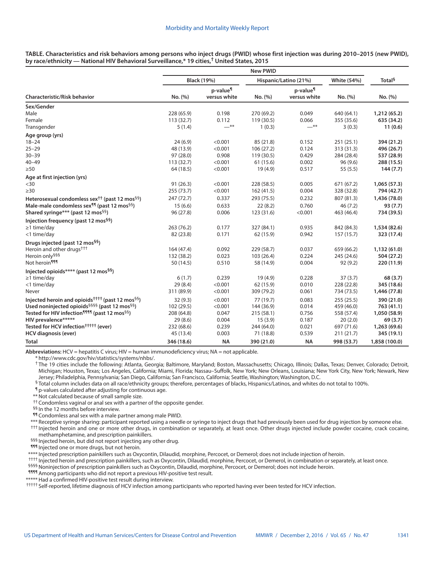| <b>Characteristic/Risk behavior</b>                                      | <b>New PWID</b>    |                                      |                       |                                      |                       |                    |
|--------------------------------------------------------------------------|--------------------|--------------------------------------|-----------------------|--------------------------------------|-----------------------|--------------------|
|                                                                          | <b>Black (19%)</b> |                                      | Hispanic/Latino (21%) |                                      | White (54%)           | Total <sup>§</sup> |
|                                                                          | No. (%)            | p-value <sup>¶</sup><br>versus white | No. (%)               | p-value <sup>¶</sup><br>versus white | No. (%)               | No. (%)            |
| Sex/Gender                                                               |                    |                                      |                       |                                      |                       |                    |
| Male                                                                     | 228 (65.9)         | 0.198                                | 270 (69.2)            | 0.049                                | 640 (64.1)            | 1,212 (65.2)       |
| Female                                                                   | 113(32.7)          | 0.112                                | 119 (30.5)            | 0.066                                | 355 (35.6)            | 635 (34.2)         |
| Transgender                                                              | 5(1.4)             | —**                                  | 1(0.3)                | $-$ **                               | 3(0.3)                | 11(0.6)            |
| Age group (yrs)                                                          |                    |                                      |                       |                                      |                       |                    |
| $18 - 24$                                                                | 24(6.9)            | < 0.001                              | 85 (21.8)             | 0.152                                | 251(25.1)             | 394 (21.2)         |
| $25 - 29$                                                                | 48 (13.9)          | < 0.001                              | 106(27.2)             | 0.124                                | 313 (31.3)            | 496 (26.7)         |
| $30 - 39$                                                                | 97 (28.0)          | 0.908                                | 119 (30.5)            | 0.429                                | 284 (28.4)            | 537 (28.9)         |
| $40 - 49$                                                                | 113(32.7)          | < 0.001                              | 61 (15.6)             | 0.002                                | 96(9.6)               | 288 (15.5)         |
| $\geq 50$                                                                | 64 (18.5)          | < 0.001                              | 19 (4.9)              | 0.517                                | 55(5.5)               | 144(7.7)           |
| Age at first injection (yrs)                                             |                    |                                      |                       |                                      |                       |                    |
| $30$                                                                     | 91(26.3)           | < 0.001                              | 228 (58.5)            | 0.005                                | 671 (67.2)            | 1,065 (57.3)       |
| $\geq$ 30                                                                | 255(73.7)          | < 0.001                              | 162 (41.5)            | 0.004                                | 328 (32.8)            | 794 (42.7)         |
| Heterosexual condomless sex <sup>††</sup> (past 12 mos <sup>§§</sup> )   | 247(72.7)          | 0.337                                | 293 (75.5)            | 0.232                                | 807 (81.3)            | 1,436 (78.0)       |
| Male-male condomless sex <sup>11</sup> (past 12 mos <sup>§§</sup> )      | 15(6.6)            | 0.633                                | 22(8.2)               | 0.760                                | 46(7.2)               | 93(7.7)            |
| Shared syringe*** (past 12 mos <sup>§§</sup> )                           | 96 (27.8)          | 0.006                                | 123 (31.6)            | < 0.001                              | 463 (46.4)            | 734 (39.5)         |
| Injection frequency (past 12 mos <sup>§§</sup> )                         |                    |                                      |                       |                                      |                       |                    |
| $\geq$ 1 time/day                                                        | 263 (76.2)         | 0.177                                | 327 (84.1)            | 0.935                                | 842 (84.3)            | 1,534 (82.6)       |
| <1 time/day                                                              | 82 (23.8)          | 0.171                                | 62 (15.9)             | 0.942                                | 157(15.7)             | 323 (17.4)         |
|                                                                          |                    |                                      |                       |                                      |                       |                    |
| Drugs injected (past 12 mos <sup>§§</sup> )                              |                    |                                      |                       |                                      |                       |                    |
| Heroin and other drugs <sup>+++</sup>                                    | 164 (47.4)         | 0.092                                | 229 (58.7)            | 0.037                                | 659 (66.2)            | 1,132 (61.0)       |
| Heroin only <sup>§§§</sup><br>Not heroin <sup>111</sup>                  | 132 (38.2)         | 0.023<br>0.510                       | 103 (26.4)            | 0.224<br>0.004                       | 245 (24.6)<br>92(9.2) | 504 (27.2)         |
|                                                                          | 50 (14.5)          |                                      | 58 (14.9)             |                                      |                       | 220 (11.9)         |
| Injected opioids**** (past 12 mos <sup>§§</sup> )                        |                    |                                      |                       |                                      |                       |                    |
| $\geq$ 1 time/day                                                        | 6(1.7)             | 0.239                                | 19(4.9)               | 0.228                                | 37(3.7)               | 68 (3.7)           |
| <1 time/day                                                              | 29(8.4)            | < 0.001                              | 62 (15.9)             | 0.010                                | 228 (22.8)            | 345 (18.6)         |
| Never                                                                    | 311 (89.9)         | < 0.001                              | 309 (79.2)            | 0.061                                | 734 (73.5)            | 1,446 (77.8)       |
| Injected heroin and opioids <sup>††††</sup> (past 12 mos <sup>§§</sup> ) | 32(9.3)            | < 0.001                              | 77(19.7)              | 0.083                                | 255(25.5)             | 390 (21.0)         |
| Used noninjected opioids <sup>§§§§</sup> (past 12 mos <sup>§§</sup> )    | 102 (29.5)         | < 0.001                              | 144 (36.9)            | 0.014                                | 459 (46.0)            | 763 (41.1)         |
| Tested for HIV infection <sup>1111</sup> (past 12 mos <sup>§§</sup> )    | 208 (64.8)         | 0.047                                | 215(58.1)             | 0.756                                | 558 (57.4)            | 1,050 (58.9)       |
| HIV prevalence*****                                                      | 29(8.6)            | 0.004                                | 15(3.9)               | 0.187                                | 20(2.0)               | 69(3.7)            |
| Tested for HCV infection <sup>†††††</sup> (ever)                         | 232 (68.6)         | 0.239                                | 244 (64.0)            | 0.021                                | 697 (71.6)            | 1,263 (69.6)       |
| <b>HCV diagnosis (ever)</b>                                              | 45 (13.4)          | 0.003                                | 71 (18.8)             | 0.539                                | 211(21.7)             | 345 (19.1)         |
| <b>Total</b>                                                             | 346 (18.6)         | <b>NA</b>                            | 390 (21.0)            | <b>NA</b>                            | 998 (53.7)            | 1,858 (100.0)      |

**TABLE. Characteristics and risk behaviors among persons who inject drugs (PWID) whose first injection was during 2010–2015 (new PWID), by race/ethnicity — National HIV Behavioral Surveillance,\* 19 cities,† United States, 2015**

**Abbreviations:** HCV = hepatitis C virus; HIV = human immunodeficiency virus; NA = not applicable.

\* <http://www.cdc.gov/hiv/statistics/systems/nhbs/>.<br>† The 19 cities include the following: Atlanta, Georgia; Baltimore, Maryland; Boston, Massachusetts; Chicago, Illinois; Dallas, Texas; Denver, Colorado; Detroit, Michigan; Houston, Texas; Los Angeles, California; Miami, Florida; Nassau–Suffolk, New York; New Orleans, Louisiana; New York City, New York; Newark, New Jersey; Philadelphia, Pennsylvania; San Diego, California; San Francisco, California; Seattle, Washington; Washington, D.C.

§ Total column includes data on all race/ethnicity groups; therefore, percentages of blacks, Hispanics/Latinos, and whites do not total to 100%.

¶ p-values calculated after adjusting for continuous age.

\*\* Not calculated because of small sample size.

<sup>††</sup> Condomless vaginal or anal sex with a partner of the opposite gender.

§§ In the 12 months before interview.

¶¶ Condomless anal sex with a male partner among male PWID.

\*\*\* Receptive syringe sharing: participant reported using a needle or syringe to inject drugs that had previously been used for drug injection by someone else. ††† Injected heroin and one or more other drugs, in combination or separately, at least once. Other drugs injected include powder cocaine, crack cocaine, methamphetamine, and prescription painkillers.

§§§ Injected heroin, but did not report injecting any other drug.

¶¶¶ Injected one or more drugs, but not heroin.

\*\*\*\* Injected prescription painkillers such as Oxycontin, Dilaudid, morphine, Percocet, or Demerol; does not include injection of heroin.

†††† Injected heroin and prescription painkillers, such as Oxycontin, Dilaudid, morphine, Percocet, or Demerol, in combination or separately, at least once.

§§§§ Noninjection of prescription painkillers such as Oxycontin, Dilaudid, morphine, Percocet, or Demerol; does not include heroin.

¶¶¶¶ Among participants who did not report a previous HIV-positive test result.

\*\*\*\*\* Had a confirmed HIV-positive test result during interview.

††††† Self-reported, lifetime diagnosis of HCV infection among participants who reported having ever been tested for HCV infection.